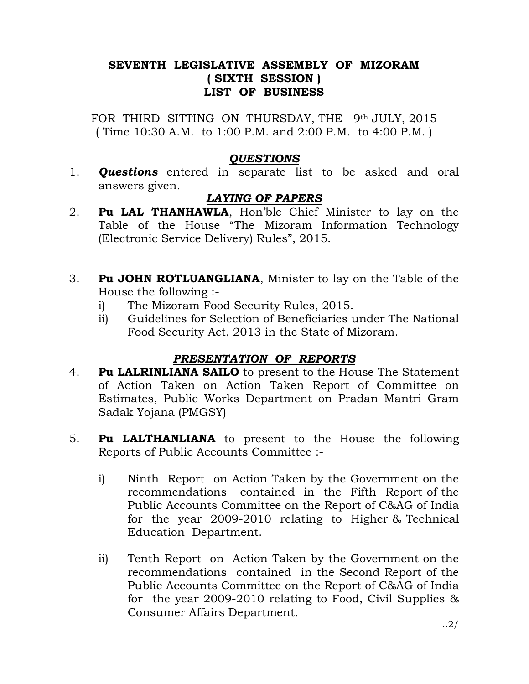# SEVENTH LEGISLATIVE ASSEMBLY OF MIZORAM ( SIXTH SESSION ) LIST OF BUSINESS

FOR THIRD SITTING ON THURSDAY, THE 9th JULY, 2015 ( Time 10:30 A.M. to 1:00 P.M. and 2:00 P.M. to 4:00 P.M. )

## **OUESTIONS**

1. **Questions** entered in separate list to be asked and oral answers given.

# LAYING OF PAPERS

- 2. Pu LAL THANHAWLA, Hon'ble Chief Minister to lay on the Table of the House "The Mizoram Information Technology (Electronic Service Delivery) Rules", 2015.
- 3. Pu JOHN ROTLUANGLIANA, Minister to lay on the Table of the House the following :
	- i) The Mizoram Food Security Rules, 2015.
	- ii) Guidelines for Selection of Beneficiaries under The National Food Security Act, 2013 in the State of Mizoram.

# PRESENTATION OF REPORTS

- 4. Pu LALRINLIANA SAILO to present to the House The Statement of Action Taken on Action Taken Report of Committee on Estimates, Public Works Department on Pradan Mantri Gram Sadak Yojana (PMGSY)
- 5. Pu LALTHANLIANA to present to the House the following Reports of Public Accounts Committee :
	- i) Ninth Report on Action Taken by the Government on the recommendations contained in the Fifth Report of the Public Accounts Committee on the Report of C&AG of India for the year 2009-2010 relating to Higher & Technical Education Department.
	- ii) Tenth Report on Action Taken by the Government on the recommendations contained in the Second Report of the Public Accounts Committee on the Report of C&AG of India for the year 2009-2010 relating to Food, Civil Supplies & Consumer Affairs Department.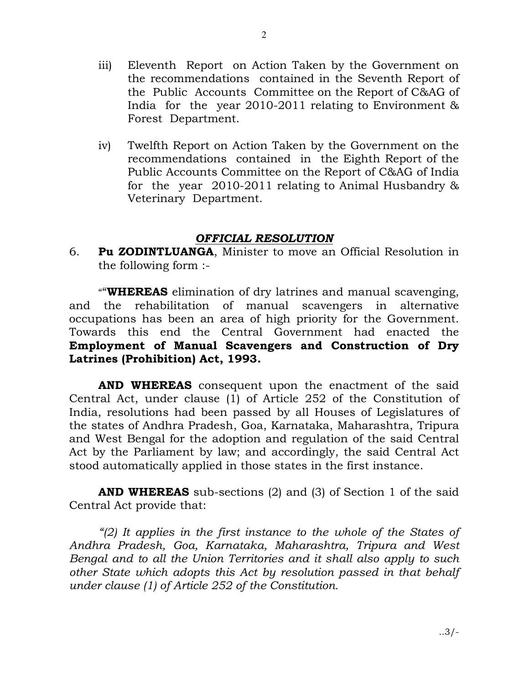- iii) Eleventh Report on Action Taken by the Government on the recommendations contained in the Seventh Report of the Public Accounts Committee on the Report of C&AG of India for the year 2010-2011 relating to Environment & Forest Department.
- iv) Twelfth Report on Action Taken by the Government on the recommendations contained in the Eighth Report of the Public Accounts Committee on the Report of C&AG of India for the year 2010-2011 relating to Animal Husbandry & Veterinary Department.

### OFFICIAL RESOLUTION

6. Pu ZODINTLUANGA, Minister to move an Official Resolution in the following form :-

"**WHEREAS** elimination of dry latrines and manual scavenging, and the rehabilitation of manual scavengers in alternative occupations has been an area of high priority for the Government. Towards this end the Central Government had enacted the Employment of Manual Scavengers and Construction of Dry Latrines (Prohibition) Act, 1993.

AND WHEREAS consequent upon the enactment of the said Central Act, under clause (1) of Article 252 of the Constitution of India, resolutions had been passed by all Houses of Legislatures of the states of Andhra Pradesh, Goa, Karnataka, Maharashtra, Tripura and West Bengal for the adoption and regulation of the said Central Act by the Parliament by law; and accordingly, the said Central Act stood automatically applied in those states in the first instance.

**AND WHEREAS** sub-sections (2) and (3) of Section 1 of the said Central Act provide that:

"(2) It applies in the first instance to the whole of the States of Andhra Pradesh, Goa, Karnataka, Maharashtra, Tripura and West Bengal and to all the Union Territories and it shall also apply to such other State which adopts this Act by resolution passed in that behalf under clause (1) of Article 252 of the Constitution.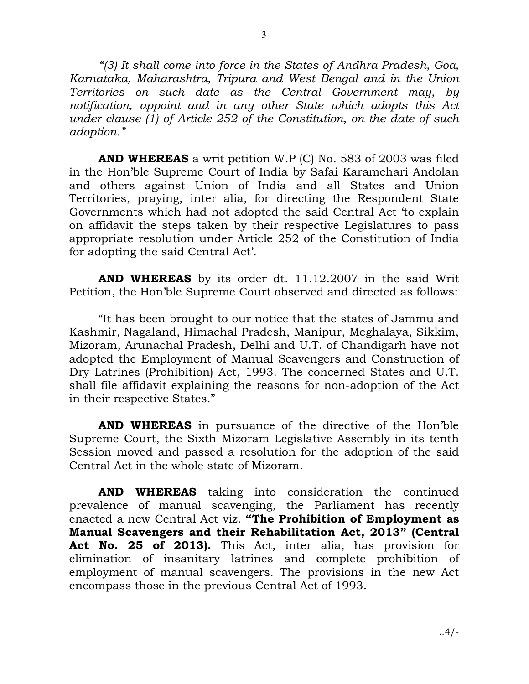"(3) It shall come into force in the States of Andhra Pradesh, Goa, Karnataka, Maharashtra, Tripura and West Bengal and in the Union Territories on such date as the Central Government may, by notification, appoint and in any other State which adopts this Act under clause (1) of Article 252 of the Constitution, on the date of such adoption."

**AND WHEREAS** a writ petition W.P (C) No. 583 of 2003 was filed in the Hon'ble Supreme Court of India by Safai Karamchari Andolan and others against Union of India and all States and Union Territories, praying, inter alia, for directing the Respondent State Governments which had not adopted the said Central Act 'to explain on affidavit the steps taken by their respective Legislatures to pass appropriate resolution under Article 252 of the Constitution of India for adopting the said Central Act'.

AND WHEREAS by its order dt. 11.12.2007 in the said Writ Petition, the Hon'ble Supreme Court observed and directed as follows:

 "It has been brought to our notice that the states of Jammu and Kashmir, Nagaland, Himachal Pradesh, Manipur, Meghalaya, Sikkim, Mizoram, Arunachal Pradesh, Delhi and U.T. of Chandigarh have not adopted the Employment of Manual Scavengers and Construction of Dry Latrines (Prohibition) Act, 1993. The concerned States and U.T. shall file affidavit explaining the reasons for non-adoption of the Act in their respective States."

AND WHEREAS in pursuance of the directive of the Hon'ble Supreme Court, the Sixth Mizoram Legislative Assembly in its tenth Session moved and passed a resolution for the adoption of the said Central Act in the whole state of Mizoram.

AND WHEREAS taking into consideration the continued prevalence of manual scavenging, the Parliament has recently enacted a new Central Act viz. "The Prohibition of Employment as Manual Scavengers and their Rehabilitation Act, 2013" (Central Act No. 25 of 2013). This Act, inter alia, has provision for elimination of insanitary latrines and complete prohibition of employment of manual scavengers. The provisions in the new Act encompass those in the previous Central Act of 1993.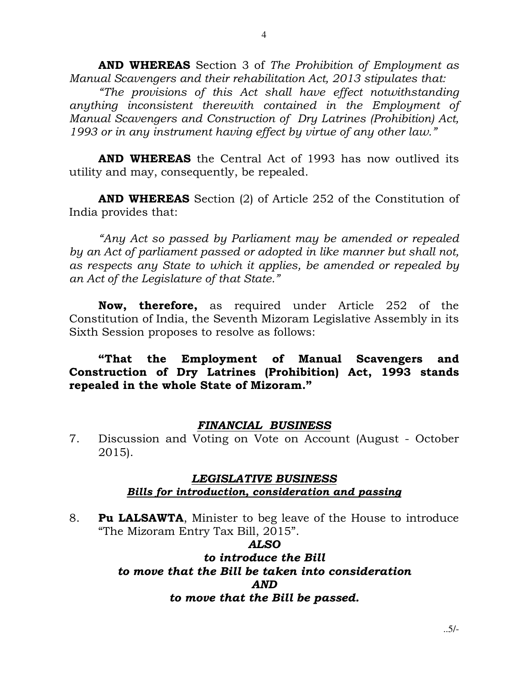AND WHEREAS Section 3 of The Prohibition of Employment as Manual Scavengers and their rehabilitation Act, 2013 stipulates that:

 "The provisions of this Act shall have effect notwithstanding anything inconsistent therewith contained in the Employment of Manual Scavengers and Construction of Dry Latrines (Prohibition) Act, 1993 or in any instrument having effect by virtue of any other law."

AND WHEREAS the Central Act of 1993 has now outlived its utility and may, consequently, be repealed.

**AND WHEREAS** Section (2) of Article 252 of the Constitution of India provides that:

"Any Act so passed by Parliament may be amended or repealed by an Act of parliament passed or adopted in like manner but shall not, as respects any State to which it applies, be amended or repealed by an Act of the Legislature of that State."

Now, therefore, as required under Article 252 of the Constitution of India, the Seventh Mizoram Legislative Assembly in its Sixth Session proposes to resolve as follows:

## "That the Employment of Manual Scavengers and Construction of Dry Latrines (Prohibition) Act, 1993 stands repealed in the whole State of Mizoram."

#### FINANCIAL BUSINESS

7. Discussion and Voting on Vote on Account (August - October 2015).

### LEGISLATIVE BUSINESS Bills for introduction, consideration and passing

8. **Pu LALSAWTA**, Minister to beg leave of the House to introduce "The Mizoram Entry Tax Bill, 2015".

### ALSO

## to introduce the Bill to move that the Bill be taken into consideration AND to move that the Bill be passed.